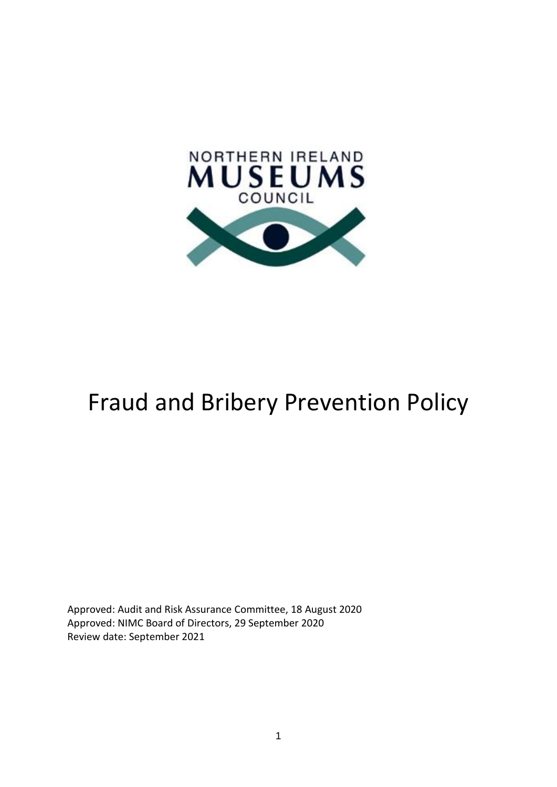

# Fraud and Bribery Prevention Policy

Approved: Audit and Risk Assurance Committee, 18 August 2020 Approved: NIMC Board of Directors, 29 September 2020 Review date: September 2021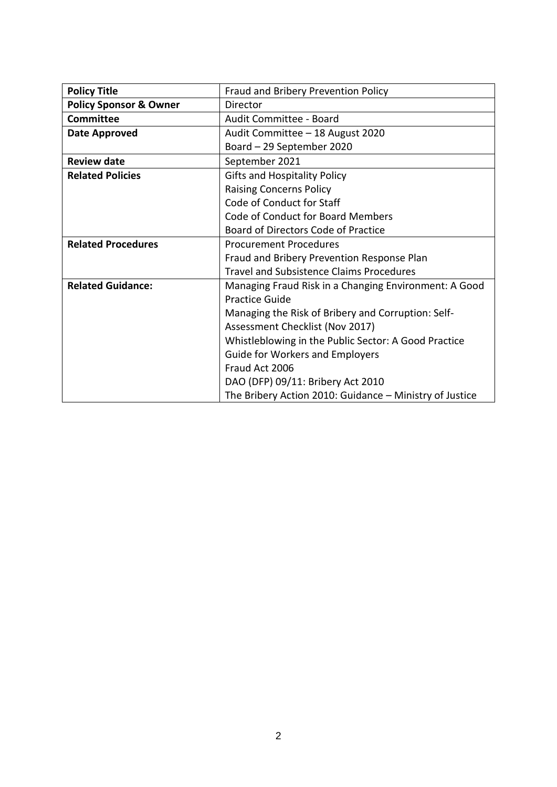| <b>Policy Title</b>               | Fraud and Bribery Prevention Policy                     |
|-----------------------------------|---------------------------------------------------------|
| <b>Policy Sponsor &amp; Owner</b> | <b>Director</b>                                         |
| <b>Committee</b>                  | Audit Committee - Board                                 |
| <b>Date Approved</b>              | Audit Committee - 18 August 2020                        |
|                                   | Board - 29 September 2020                               |
| <b>Review date</b>                | September 2021                                          |
| <b>Related Policies</b>           | <b>Gifts and Hospitality Policy</b>                     |
|                                   | <b>Raising Concerns Policy</b>                          |
|                                   | Code of Conduct for Staff                               |
|                                   | Code of Conduct for Board Members                       |
|                                   | Board of Directors Code of Practice                     |
| <b>Related Procedures</b>         | <b>Procurement Procedures</b>                           |
|                                   | Fraud and Bribery Prevention Response Plan              |
|                                   | <b>Travel and Subsistence Claims Procedures</b>         |
| <b>Related Guidance:</b>          | Managing Fraud Risk in a Changing Environment: A Good   |
|                                   | <b>Practice Guide</b>                                   |
|                                   | Managing the Risk of Bribery and Corruption: Self-      |
|                                   | Assessment Checklist (Nov 2017)                         |
|                                   | Whistleblowing in the Public Sector: A Good Practice    |
|                                   | <b>Guide for Workers and Employers</b>                  |
|                                   | Fraud Act 2006                                          |
|                                   | DAO (DFP) 09/11: Bribery Act 2010                       |
|                                   | The Bribery Action 2010: Guidance - Ministry of Justice |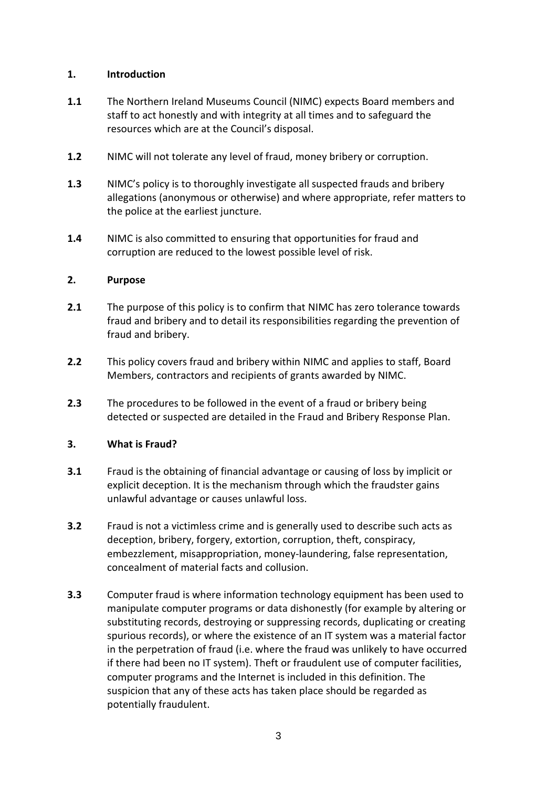## **1. Introduction**

- **1.1** The Northern Ireland Museums Council (NIMC) expects Board members and staff to act honestly and with integrity at all times and to safeguard the resources which are at the Council's disposal.
- **1.2** NIMC will not tolerate any level of fraud, money bribery or corruption.
- **1.3** NIMC's policy is to thoroughly investigate all suspected frauds and bribery allegations (anonymous or otherwise) and where appropriate, refer matters to the police at the earliest juncture.
- **1.4** NIMC is also committed to ensuring that opportunities for fraud and corruption are reduced to the lowest possible level of risk.

#### **2. Purpose**

- **2.1** The purpose of this policy is to confirm that NIMC has zero tolerance towards fraud and bribery and to detail its responsibilities regarding the prevention of fraud and bribery.
- **2.2** This policy covers fraud and bribery within NIMC and applies to staff, Board Members, contractors and recipients of grants awarded by NIMC.
- **2.3** The procedures to be followed in the event of a fraud or bribery being detected or suspected are detailed in the Fraud and Bribery Response Plan.

# **3. What is Fraud?**

- **3.1** Fraud is the obtaining of financial advantage or causing of loss by implicit or explicit deception. It is the mechanism through which the fraudster gains unlawful advantage or causes unlawful loss.
- **3.2** Fraud is not a victimless crime and is generally used to describe such acts as deception, bribery, forgery, extortion, corruption, theft, conspiracy, embezzlement, misappropriation, money-laundering, false representation, concealment of material facts and collusion.
- **3.3** Computer fraud is where information technology equipment has been used to manipulate computer programs or data dishonestly (for example by altering or substituting records, destroying or suppressing records, duplicating or creating spurious records), or where the existence of an IT system was a material factor in the perpetration of fraud (i.e. where the fraud was unlikely to have occurred if there had been no IT system). Theft or fraudulent use of computer facilities, computer programs and the Internet is included in this definition. The suspicion that any of these acts has taken place should be regarded as potentially fraudulent.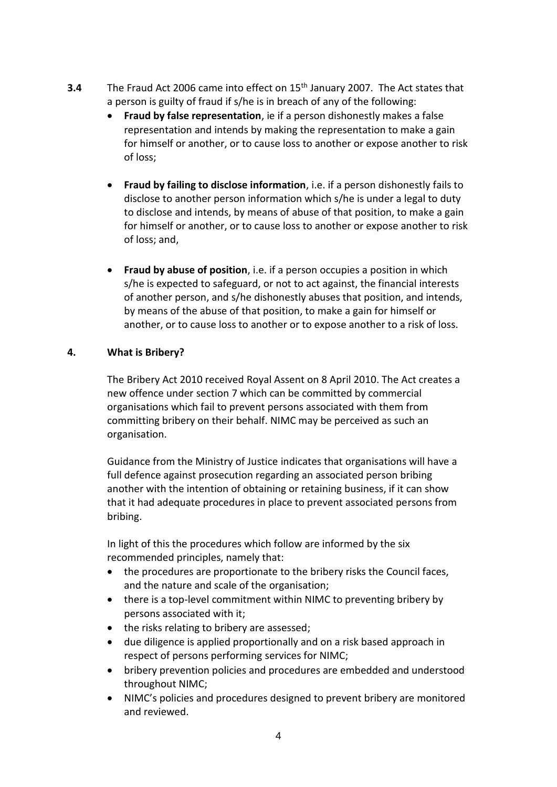- **3.4** The Fraud Act 2006 came into effect on 15<sup>th</sup> January 2007. The Act states that a person is guilty of fraud if s/he is in breach of any of the following:
	- **Fraud by false representation**, ie if a person dishonestly makes a false representation and intends by making the representation to make a gain for himself or another, or to cause loss to another or expose another to risk of loss;
	- **Fraud by failing to disclose information**, i.e. if a person dishonestly fails to disclose to another person information which s/he is under a legal to duty to disclose and intends, by means of abuse of that position, to make a gain for himself or another, or to cause loss to another or expose another to risk of loss; and,
	- **Fraud by abuse of position**, i.e. if a person occupies a position in which s/he is expected to safeguard, or not to act against, the financial interests of another person, and s/he dishonestly abuses that position, and intends, by means of the abuse of that position, to make a gain for himself or another, or to cause loss to another or to expose another to a risk of loss.

# **4. What is Bribery?**

The Bribery Act 2010 received Royal Assent on 8 April 2010. The Act creates a new offence under section 7 which can be committed by commercial organisations which fail to prevent persons associated with them from committing bribery on their behalf. NIMC may be perceived as such an organisation.

Guidance from the Ministry of Justice indicates that organisations will have a full defence against prosecution regarding an associated person bribing another with the intention of obtaining or retaining business, if it can show that it had adequate procedures in place to prevent associated persons from bribing.

In light of this the procedures which follow are informed by the six recommended principles, namely that:

- the procedures are proportionate to the bribery risks the Council faces, and the nature and scale of the organisation;
- there is a top-level commitment within NIMC to preventing bribery by persons associated with it;
- the risks relating to bribery are assessed;
- due diligence is applied proportionally and on a risk based approach in respect of persons performing services for NIMC;
- bribery prevention policies and procedures are embedded and understood throughout NIMC;
- NIMC's policies and procedures designed to prevent bribery are monitored and reviewed.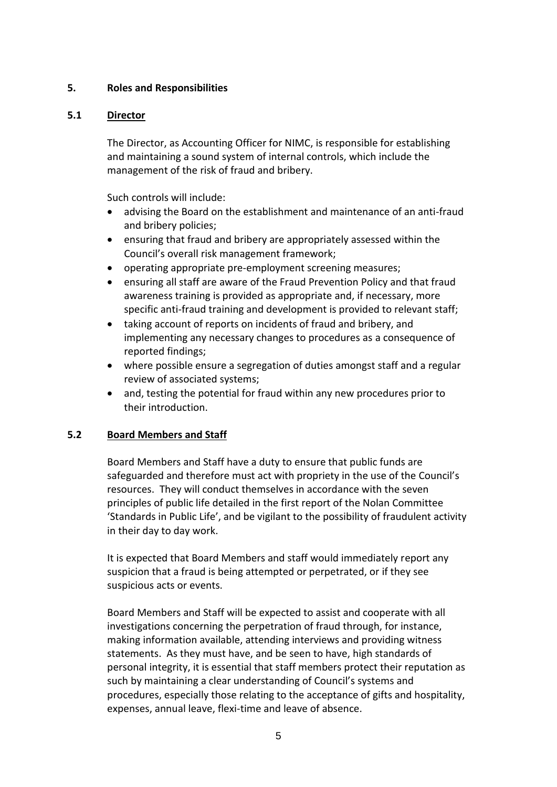## **5. Roles and Responsibilities**

#### **5.1 Director**

The Director, as Accounting Officer for NIMC, is responsible for establishing and maintaining a sound system of internal controls, which include the management of the risk of fraud and bribery.

Such controls will include:

- advising the Board on the establishment and maintenance of an anti-fraud and bribery policies;
- ensuring that fraud and bribery are appropriately assessed within the Council's overall risk management framework;
- operating appropriate pre-employment screening measures;
- ensuring all staff are aware of the Fraud Prevention Policy and that fraud awareness training is provided as appropriate and, if necessary, more specific anti-fraud training and development is provided to relevant staff;
- taking account of reports on incidents of fraud and bribery, and implementing any necessary changes to procedures as a consequence of reported findings;
- where possible ensure a segregation of duties amongst staff and a regular review of associated systems;
- and, testing the potential for fraud within any new procedures prior to their introduction.

# **5.2 Board Members and Staff**

Board Members and Staff have a duty to ensure that public funds are safeguarded and therefore must act with propriety in the use of the Council's resources. They will conduct themselves in accordance with the seven principles of public life detailed in the first report of the Nolan Committee 'Standards in Public Life', and be vigilant to the possibility of fraudulent activity in their day to day work.

It is expected that Board Members and staff would immediately report any suspicion that a fraud is being attempted or perpetrated, or if they see suspicious acts or events.

Board Members and Staff will be expected to assist and cooperate with all investigations concerning the perpetration of fraud through, for instance, making information available, attending interviews and providing witness statements. As they must have, and be seen to have, high standards of personal integrity, it is essential that staff members protect their reputation as such by maintaining a clear understanding of Council's systems and procedures, especially those relating to the acceptance of gifts and hospitality, expenses, annual leave, flexi-time and leave of absence.